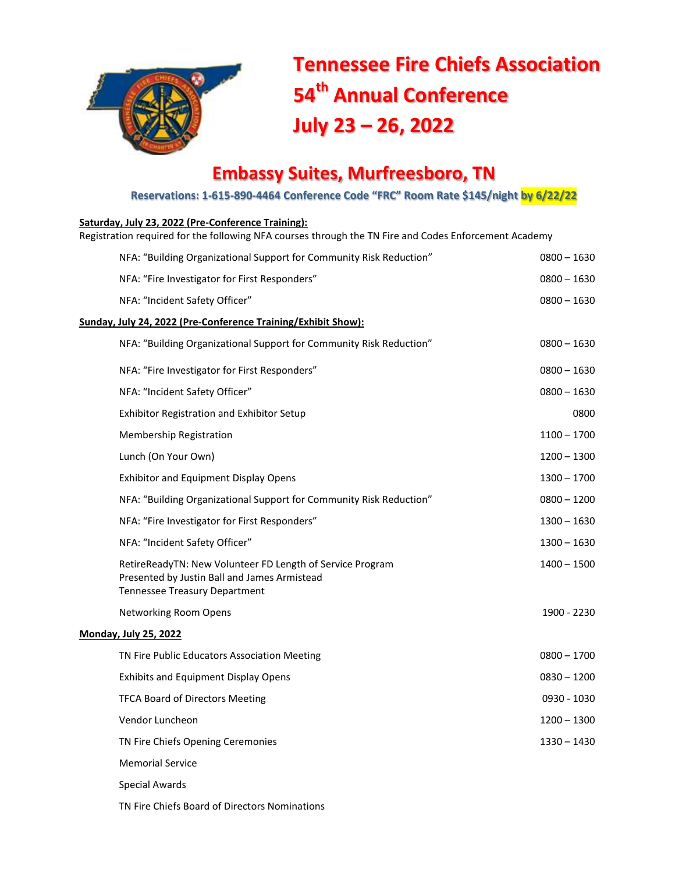

## **Tennessee Fire Chiefs Association 54 th Annual Conference July 23 – 26, 2022**

## **Embassy Suites, Murfreesboro, TN**

**Reservations: 1-615-890-4464 Conference Code "FRC" Room Rate \$145/night by 6/22/22**

## **Saturday, July 23, 2022 (Pre-Conference Training):**

Registration required for the following NFA courses through the TN Fire and Codes Enforcement Academy

| NFA: "Building Organizational Support for Community Risk Reduction"                                                                               | $0800 - 1630$ |
|---------------------------------------------------------------------------------------------------------------------------------------------------|---------------|
| NFA: "Fire Investigator for First Responders"                                                                                                     | $0800 - 1630$ |
| NFA: "Incident Safety Officer"                                                                                                                    | $0800 - 1630$ |
| Sunday, July 24, 2022 (Pre-Conference Training/Exhibit Show):                                                                                     |               |
| NFA: "Building Organizational Support for Community Risk Reduction"                                                                               | $0800 - 1630$ |
| NFA: "Fire Investigator for First Responders"                                                                                                     | $0800 - 1630$ |
| NFA: "Incident Safety Officer"                                                                                                                    | $0800 - 1630$ |
| Exhibitor Registration and Exhibitor Setup                                                                                                        | 0800          |
| <b>Membership Registration</b>                                                                                                                    | $1100 - 1700$ |
| Lunch (On Your Own)                                                                                                                               | $1200 - 1300$ |
| <b>Exhibitor and Equipment Display Opens</b>                                                                                                      | $1300 - 1700$ |
| NFA: "Building Organizational Support for Community Risk Reduction"                                                                               | $0800 - 1200$ |
| NFA: "Fire Investigator for First Responders"                                                                                                     | $1300 - 1630$ |
| NFA: "Incident Safety Officer"                                                                                                                    | 1300 - 1630   |
| RetireReadyTN: New Volunteer FD Length of Service Program<br>Presented by Justin Ball and James Armistead<br><b>Tennessee Treasury Department</b> | 1400 - 1500   |
| Networking Room Opens                                                                                                                             | 1900 - 2230   |
| <b>Monday, July 25, 2022</b>                                                                                                                      |               |
| TN Fire Public Educators Association Meeting                                                                                                      | $0800 - 1700$ |
| <b>Exhibits and Equipment Display Opens</b>                                                                                                       | $0830 - 1200$ |
| <b>TFCA Board of Directors Meeting</b>                                                                                                            | 0930 - 1030   |
| Vendor Luncheon                                                                                                                                   | $1200 - 1300$ |
| TN Fire Chiefs Opening Ceremonies                                                                                                                 | $1330 - 1430$ |
| <b>Memorial Service</b>                                                                                                                           |               |
| Special Awards                                                                                                                                    |               |
| TN Fire Chiefs Board of Directors Nominations                                                                                                     |               |